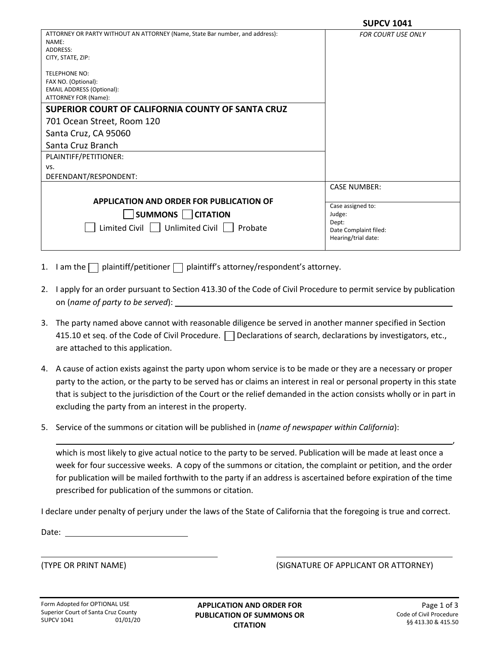|                                                                                                         | JUPLV 1041                |
|---------------------------------------------------------------------------------------------------------|---------------------------|
| ATTORNEY OR PARTY WITHOUT AN ATTORNEY (Name, State Bar number, and address):<br>NAME:                   | <b>FOR COURT USE ONLY</b> |
| ADDRESS:                                                                                                |                           |
| CITY, STATE, ZIP:                                                                                       |                           |
| <b>TELEPHONE NO:</b><br>FAX NO. (Optional):<br><b>EMAIL ADDRESS (Optional):</b><br>ATTORNEY FOR (Name): |                           |
| SUPERIOR COURT OF CALIFORNIA COUNTY OF SANTA CRUZ                                                       |                           |
| 701 Ocean Street, Room 120                                                                              |                           |
| Santa Cruz, CA 95060                                                                                    |                           |
| Santa Cruz Branch                                                                                       |                           |
| PLAINTIFF/PETITIONER:                                                                                   |                           |
| VS.                                                                                                     |                           |
| DEFENDANT/RESPONDENT:                                                                                   |                           |
|                                                                                                         | <b>CASE NUMBER:</b>       |
| APPLICATION AND ORDER FOR PUBLICATION OF                                                                |                           |
|                                                                                                         | Case assigned to:         |
| $ $ SUMMONS $ $ CITATION                                                                                | Judge:<br>Dept:           |
| Limited Civil   Unlimited Civil   Probate                                                               | Date Complaint filed:     |
|                                                                                                         | Hearing/trial date:       |
|                                                                                                         |                           |

- 1. I am the  $\Box$  plaintiff/petitioner  $\Box$  plaintiff's attorney/respondent's attorney.
- 2. I apply for an order pursuant to Section 413.30 of the Code of Civil Procedure to permit service by publication on (*name of party to be served*):
- 3. The party named above cannot with reasonable diligence be served in another manner specified in Section 415.10 et seq. of the Code of Civil Procedure.  $\Box$  Declarations of search, declarations by investigators, etc., are attached to this application.
- 4. A cause of action exists against the party upon whom service is to be made or they are a necessary or proper party to the action, or the party to be served has or claims an interest in real or personal property in this state that is subject to the jurisdiction of the Court or the relief demanded in the action consists wholly or in part in excluding the party from an interest in the property.
- 5. Service of the summons or citation will be published in (*name of newspaper within California*):

which is most likely to give actual notice to the party to be served. Publication will be made at least once a week for four successive weeks. A copy of the summons or citation, the complaint or petition, and the order for publication will be mailed forthwith to the party if an address is ascertained before expiration of the time prescribed for publication of the summons or citation.

I declare under penalty of perjury under the laws of the State of California that the foregoing is true and correct.

Date:

(TYPE OR PRINT NAME) (SIGNATURE OF APPLICANT OR ATTORNEY)

,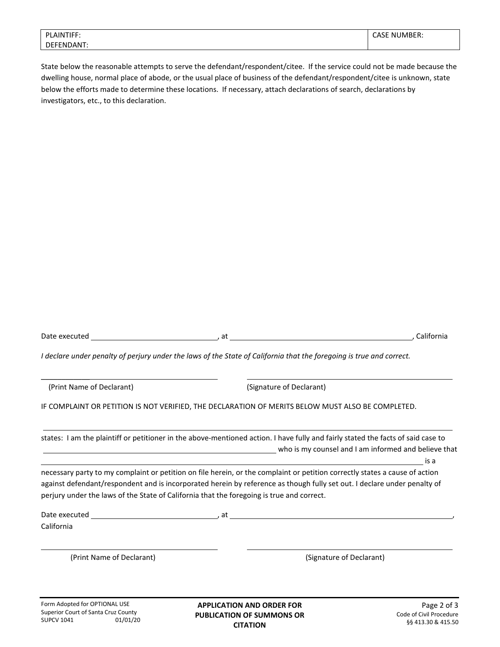| <b>PLAINTIFF:</b> | <b>CASE NUMBER:</b> |
|-------------------|---------------------|
| DEFENDANT:        |                     |

State below the reasonable attempts to serve the defendant/respondent/citee. If the service could not be made because the dwelling house, normal place of abode, or the usual place of business of the defendant/respondent/citee is unknown, state below the efforts made to determine these locations. If necessary, attach declarations of search, declarations by investigators, etc., to this declaration.

| Date executed             | at                                                                                                                                                                                                                                                                                                                                                   | California                                                                                                                                                                                                                                                  |
|---------------------------|------------------------------------------------------------------------------------------------------------------------------------------------------------------------------------------------------------------------------------------------------------------------------------------------------------------------------------------------------|-------------------------------------------------------------------------------------------------------------------------------------------------------------------------------------------------------------------------------------------------------------|
|                           | I declare under penalty of perjury under the laws of the State of California that the foregoing is true and correct.                                                                                                                                                                                                                                 |                                                                                                                                                                                                                                                             |
| (Print Name of Declarant) | (Signature of Declarant)                                                                                                                                                                                                                                                                                                                             |                                                                                                                                                                                                                                                             |
|                           | IF COMPLAINT OR PETITION IS NOT VERIFIED, THE DECLARATION OF MERITS BELOW MUST ALSO BE COMPLETED.                                                                                                                                                                                                                                                    |                                                                                                                                                                                                                                                             |
|                           |                                                                                                                                                                                                                                                                                                                                                      | states: I am the plaintiff or petitioner in the above-mentioned action. I have fully and fairly stated the facts of said case to<br>who is my counsel and I am informed and believe that with the set of the set of the set of the set of the set o<br>is a |
|                           | necessary party to my complaint or petition on file herein, or the complaint or petition correctly states a cause of action<br>against defendant/respondent and is incorporated herein by reference as though fully set out. I declare under penalty of<br>perjury under the laws of the State of California that the foregoing is true and correct. |                                                                                                                                                                                                                                                             |
| California                |                                                                                                                                                                                                                                                                                                                                                      |                                                                                                                                                                                                                                                             |
| (Print Name of Declarant) |                                                                                                                                                                                                                                                                                                                                                      | (Signature of Declarant)                                                                                                                                                                                                                                    |
|                           |                                                                                                                                                                                                                                                                                                                                                      |                                                                                                                                                                                                                                                             |

**APPLICATION AND ORDER FOR PUBLICATION OF SUMMONS OR CITATION**